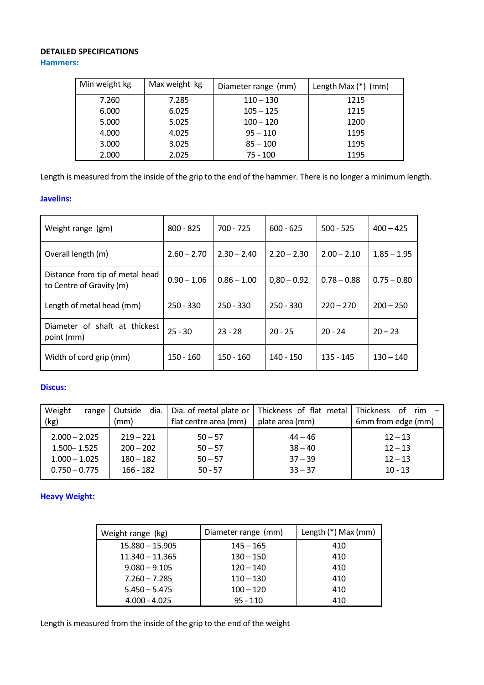## **DETAILED SPECIFICATIONS**

**Hammers:**

| Min weight kg | Max weight kg | Diameter range (mm) | Length Max $(*)$ (mm) |
|---------------|---------------|---------------------|-----------------------|
| 7.260         | 7.285         | $110 - 130$         | 1215                  |
| 6.000         | 6.025         | $105 - 125$         | 1215                  |
| 5.000         | 5.025         | $100 - 120$         | 1200                  |
| 4.000         | 4.025         | $95 - 110$          | 1195                  |
| 3.000         | 3.025         | $85 - 100$          | 1195                  |
| 2.000         | 2.025         | $75 - 100$          | 1195                  |

Length is measured from the inside of the grip to the end of the hammer. There is no longer a minimum length.

#### **Javelins:**

| Weight range (gm)                                           | $800 - 825$   | $700 - 725$   | $600 - 625$   | $500 - 525$   | $400 - 425$   |
|-------------------------------------------------------------|---------------|---------------|---------------|---------------|---------------|
| Overall length (m)                                          | $2.60 - 2.70$ | $2.30 - 2.40$ | $2.20 - 2.30$ | $2.00 - 2.10$ | $1.85 - 1.95$ |
| Distance from tip of metal head<br>to Centre of Gravity (m) | $0.90 - 1.06$ | $0.86 - 1.00$ | $0,80 - 0.92$ | $0.78 - 0.88$ | $0.75 - 0.80$ |
| Length of metal head (mm)                                   | $250 - 330$   | $250 - 330$   | $250 - 330$   | $220 - 270$   | $200 - 250$   |
| Diameter of shaft at thickest<br>point (mm)                 | $25 - 30$     | $23 - 28$     | $20 - 25$     | $20 - 24$     | $20 - 23$     |
| Width of cord grip (mm)                                     | $150 - 160$   | $150 - 160$   | $140 - 150$   | $135 - 145$   | $130 - 140$   |

## **Discus:**

| Weight          | Outside<br>range | dia.        | Dia. of metal plate or | Thickness of flat metal | <b>Thickness</b><br>$\cdot$ rim $\sim$<br>of |
|-----------------|------------------|-------------|------------------------|-------------------------|----------------------------------------------|
| (kg)            | (mm)             |             | flat centre area (mm)  | plate area (mm)         | 6mm from edge (mm)                           |
| $2.000 - 2.025$ |                  | $219 - 221$ | $50 - 57$              | $44 - 46$               | $12 - 13$                                    |
| $1.500 - 1.525$ |                  | $200 - 202$ | $50 - 57$              | $38 - 40$               | $12 - 13$                                    |
| $1.000 - 1.025$ |                  | $180 - 182$ | $50 - 57$              | $37 - 39$               | $12 - 13$                                    |
| $0.750 - 0.775$ |                  | $166 - 182$ | $50 - 57$              | $33 - 37$               | $10 - 13$                                    |

# **Heavy Weight:**

| Weight range (kg) | Diameter range (mm) | Length (*) Max (mm) |
|-------------------|---------------------|---------------------|
| $15.880 - 15.905$ | $145 - 165$         | 410                 |
| $11.340 - 11.365$ | $130 - 150$         | 410                 |
| $9.080 - 9.105$   | $120 - 140$         | 410                 |
| $7.260 - 7.285$   | $110 - 130$         | 410                 |
| $5.450 - 5.475$   | $100 - 120$         | 410                 |
| $4.000 - 4.025$   | $95 - 110$          | 410                 |

Length is measured from the inside of the grip to the end of the weight